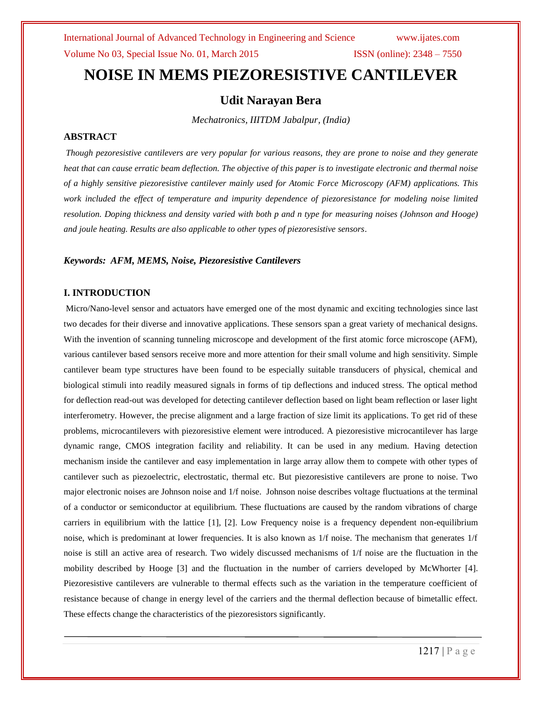# **NOISE IN MEMS PIEZORESISTIVE CANTILEVER**

#### **Udit Narayan Bera**

*Mechatronics, IIITDM Jabalpur, (India)*

#### **ABSTRACT**

*Though pezoresistive cantilevers are very popular for various reasons, they are prone to noise and they generate heat that can cause erratic beam deflection. The objective of this paper is to investigate electronic and thermal noise of a highly sensitive piezoresistive cantilever mainly used for Atomic Force Microscopy (AFM) applications. This work included the effect of temperature and impurity dependence of piezoresistance for modeling noise limited resolution. Doping thickness and density varied with both p and n type for measuring noises (Johnson and Hooge) and joule heating. Results are also applicable to other types of piezoresistive sensors*.

#### *Keywords: AFM, MEMS, Noise, Piezoresistive Cantilevers*

#### **I. INTRODUCTION**

Micro/Nano-level sensor and actuators have emerged one of the most dynamic and exciting technologies since last two decades for their diverse and innovative applications. These sensors span a great variety of mechanical designs. With the invention of scanning tunneling microscope and development of the first atomic force microscope (AFM), various cantilever based sensors receive more and more attention for their small volume and high sensitivity. Simple cantilever beam type structures have been found to be especially suitable transducers of physical, chemical and biological stimuli into readily measured signals in forms of tip deflections and induced stress. The optical method for deflection read-out was developed for detecting cantilever deflection based on light beam reflection or laser light interferometry. However, the precise alignment and a large fraction of size limit its applications. To get rid of these problems, microcantilevers with piezoresistive element were introduced. A piezoresistive microcantilever has large dynamic range, CMOS integration facility and reliability. It can be used in any medium. Having detection mechanism inside the cantilever and easy implementation in large array allow them to compete with other types of cantilever such as piezoelectric, electrostatic, thermal etc. But piezoresistive cantilevers are prone to noise. Two major electronic noises are Johnson noise and 1/f noise. Johnson noise describes voltage fluctuations at the terminal of a conductor or semiconductor at equilibrium. These fluctuations are caused by the random vibrations of charge carriers in equilibrium with the lattice [1], [2]. Low Frequency noise is a frequency dependent non-equilibrium noise, which is predominant at lower frequencies. It is also known as 1/f noise. The mechanism that generates 1/f noise is still an active area of research. Two widely discussed mechanisms of 1/f noise are the fluctuation in the mobility described by Hooge [3] and the fluctuation in the number of carriers developed by McWhorter [4]. Piezoresistive cantilevers are vulnerable to thermal effects such as the variation in the temperature coefficient of resistance because of change in energy level of the carriers and the thermal deflection because of bimetallic effect. These effects change the characteristics of the piezoresistors significantly.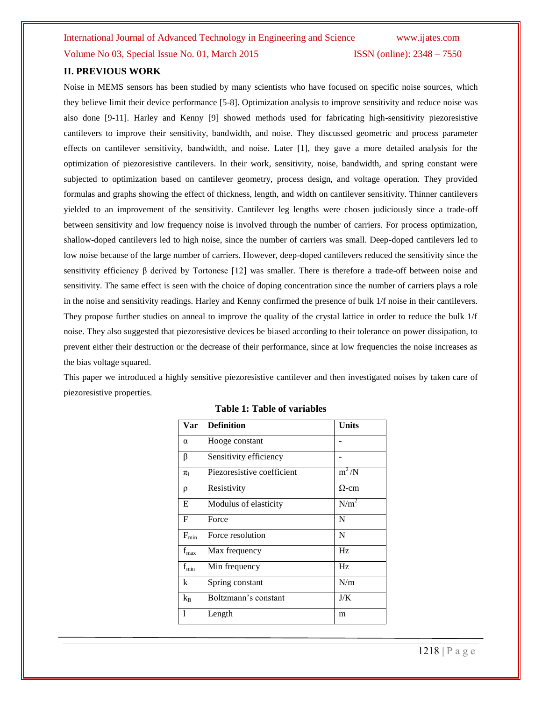Volume No 03, Special Issue No. 01, March 2015 ISSN (online): 2348 – 7550

### **II. PREVIOUS WORK**

Noise in MEMS sensors has been studied by many scientists who have focused on specific noise sources, which they believe limit their device performance [5-8]. Optimization analysis to improve sensitivity and reduce noise was also done [9-11]. Harley and Kenny [9] showed methods used for fabricating high-sensitivity piezoresistive cantilevers to improve their sensitivity, bandwidth, and noise. They discussed geometric and process parameter effects on cantilever sensitivity, bandwidth, and noise. Later [1], they gave a more detailed analysis for the optimization of piezoresistive cantilevers. In their work, sensitivity, noise, bandwidth, and spring constant were subjected to optimization based on cantilever geometry, process design, and voltage operation. They provided formulas and graphs showing the effect of thickness, length, and width on cantilever sensitivity. Thinner cantilevers yielded to an improvement of the sensitivity. Cantilever leg lengths were chosen judiciously since a trade-off between sensitivity and low frequency noise is involved through the number of carriers. For process optimization, shallow-doped cantilevers led to high noise, since the number of carriers was small. Deep-doped cantilevers led to low noise because of the large number of carriers. However, deep-doped cantilevers reduced the sensitivity since the sensitivity efficiency β derived by Tortonese [12] was smaller. There is therefore a trade-off between noise and sensitivity. The same effect is seen with the choice of doping concentration since the number of carriers plays a role in the noise and sensitivity readings. Harley and Kenny confirmed the presence of bulk 1/f noise in their cantilevers. They propose further studies on anneal to improve the quality of the crystal lattice in order to reduce the bulk 1/f noise. They also suggested that piezoresistive devices be biased according to their tolerance on power dissipation, to prevent either their destruction or the decrease of their performance, since at low frequencies the noise increases as the bias voltage squared.

This paper we introduced a highly sensitive piezoresistive cantilever and then investigated noises by taken care of piezoresistive properties.

| Var                         | <b>Definition</b>          | <b>Units</b>     |
|-----------------------------|----------------------------|------------------|
| $\alpha$                    | Hooge constant             |                  |
| β                           | Sensitivity efficiency     |                  |
| $\pi_{\text{l}}$            | Piezoresistive coefficient | $m^2/N$          |
| ρ                           | Resistivity                | $\Omega$ -cm     |
| E                           | Modulus of elasticity      | N/m <sup>2</sup> |
| F                           | Force                      | N                |
| $F_{min}$                   | Force resolution           | N                |
| $\mathbf{f}_{\mathrm{max}}$ | Max frequency              | Hz               |
| $f_{\min}$                  | Min frequency              | Hz               |
| k                           | Spring constant            | N/m              |
| $k_B$                       | Boltzmann's constant       | J/K              |
| 1                           | Length                     | m                |

|  |  | <b>Table 1: Table of variables</b> |
|--|--|------------------------------------|
|--|--|------------------------------------|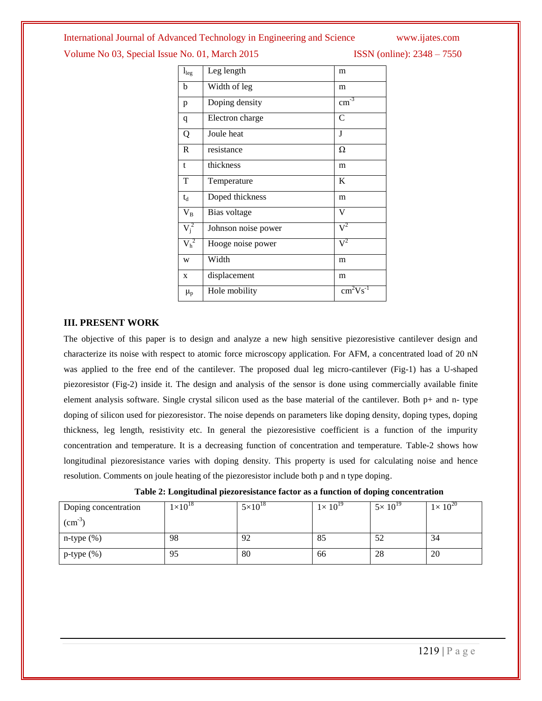Volume No 03, Special Issue No. 01, March 2015 ISSN (online): 2348 – 7550

| $\mathbf{l}_{\text{leg}}$ | Leg length          | m                |
|---------------------------|---------------------|------------------|
| b                         | Width of leg        | m                |
| p                         | Doping density      | $\text{cm}^{-3}$ |
| q                         | Electron charge     | C                |
| Q                         | Joule heat          | J                |
| R                         | resistance          | Ω                |
| t                         | thickness           | m                |
| T                         | Temperature         | K                |
| $t_d$                     | Doped thickness     | m                |
| $\rm V_B$                 | Bias voltage        | V                |
| $V_i^2$                   | Johnson noise power | $V^2$            |
| $V_h^2$                   | Hooge noise power   | $V^2$            |
| W                         | Width               | m                |
| X                         | displacement        | m                |
| $\mu_{p}$                 | Hole mobility       | $cm2Vs-1$        |
|                           |                     |                  |

#### **III. PRESENT WORK**

The objective of this paper is to design and analyze a new high sensitive piezoresistive cantilever design and characterize its noise with respect to atomic force microscopy application. For AFM, a concentrated load of 20 nN was applied to the free end of the cantilever. The proposed dual leg micro-cantilever (Fig-1) has a U-shaped piezoresistor (Fig-2) inside it. The design and analysis of the sensor is done using commercially available finite element analysis software. Single crystal silicon used as the base material of the cantilever. Both p+ and n- type doping of silicon used for piezoresistor. The noise depends on parameters like doping density, doping types, doping thickness, leg length, resistivity etc. In general the piezoresistive coefficient is a function of the impurity concentration and temperature. It is a decreasing function of concentration and temperature. Table-2 shows how longitudinal piezoresistance varies with doping density. This property is used for calculating noise and hence resolution. Comments on joule heating of the piezoresistor include both p and n type doping.

| Table 2: Longitudinal piezoresistance factor as a function of doping concentration |
|------------------------------------------------------------------------------------|
|------------------------------------------------------------------------------------|

| Doping concentration | $1\times10^{18}$ | $5 \times 10^{18}$ | $1\times 10^{19}$ | $5\times 10^{19}$ | $1\times 10^{20}$ |
|----------------------|------------------|--------------------|-------------------|-------------------|-------------------|
| $\text{cm}^{-3}$     |                  |                    |                   |                   |                   |
| $n$ -type $(\%)$     | 98               | 92                 | 85                | 52                | 34                |
| $p$ -type $(\%)$     | 95               | 80                 | 66                | 28                | 20                |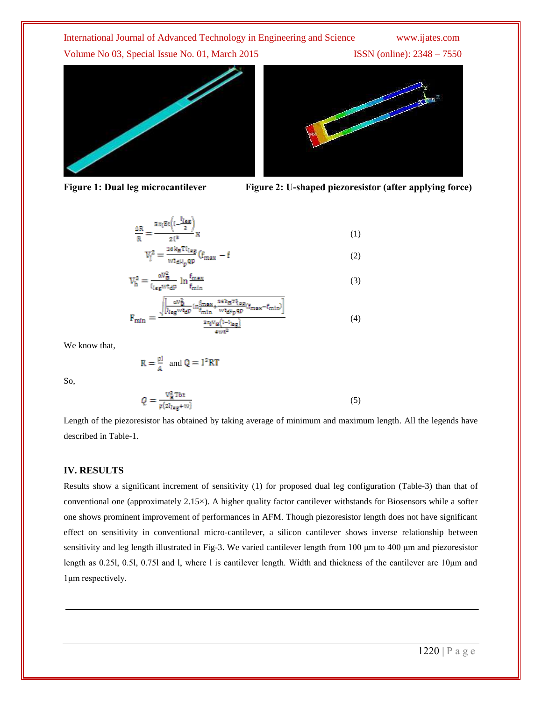International Journal of Advanced Technology in Engineering and Science www.ijates.com Volume No 03, Special Issue No. 01, March 2015 ISSN (online): 2348 – 7550









$$
\frac{\Delta R}{R} = \frac{a \pi_1 E t \left(1 - \frac{11 \text{ erg}}{2}\right)}{21^3} x
$$
\n
$$
V_1^2 = \frac{16 k_B T l_{1} \text{ erg}}{m} \left(f_{\text{max}} - f\right)
$$
\n(1)

$$
V_{h}^{2} = \frac{\alpha V_{B}^{2}}{1 - \alpha V_{B}^{2}} \ln \frac{f_{\text{max}}}{f_{\text{max}}}
$$
(3)

$$
F_{\min} = \frac{\sqrt{\left[\frac{av_B^2}{l_{\text{leg}}wt_{\text{d}}p}\ln\frac{f_{\text{max}}}{f_{\min}} + \frac{16k_B\tau_{\text{leg}}}{wt_{\text{d}}\mu_p\text{qp}}(f_{\text{max}} - f_{\text{min}})\right]}}{\frac{3\pi V_B(l-l_{\text{leg}})}{4wt^2}}
$$
(4)

We know that,

$$
R = \frac{\rho l}{A} \text{ and } Q = I^2 R T
$$

So,

$$
Q = \frac{V_B^2 \text{Tbt}}{\rho(2l_{\text{leg}+W})}
$$
 (5)

Length of the piezoresistor has obtained by taking average of minimum and maximum length. All the legends have described in Table-1.

#### **IV. RESULTS**

Results show a significant increment of sensitivity (1) for proposed dual leg configuration (Table-3) than that of conventional one (approximately 2.15×). A higher quality factor cantilever withstands for Biosensors while a softer one shows prominent improvement of performances in AFM. Though piezoresistor length does not have significant effect on sensitivity in conventional micro-cantilever, a silicon cantilever shows inverse relationship between sensitivity and leg length illustrated in Fig-3. We varied cantilever length from 100 μm to 400 μm and piezoresistor length as 0.25l, 0.5l, 0.75l and l, where l is cantilever length. Width and thickness of the cantilever are 10μm and 1μm respectively.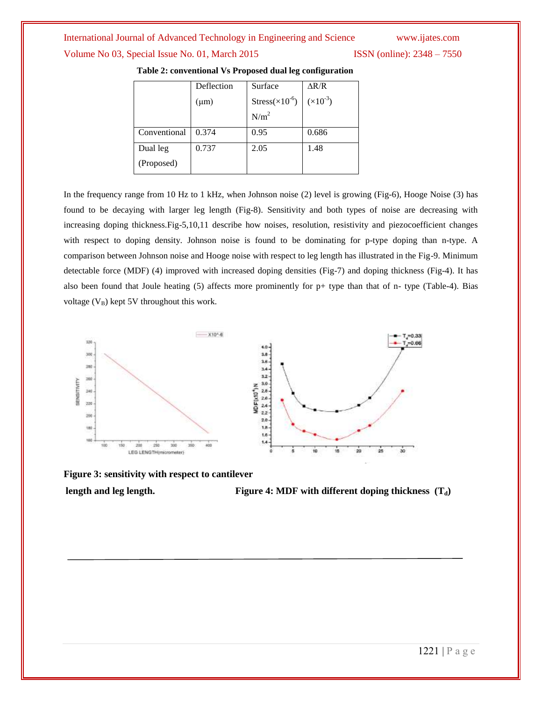Volume No 03, Special Issue No. 01, March 2015 ISSN (online): 2348 – 7550

|              | Deflection | Surface                  | AR/R               |
|--------------|------------|--------------------------|--------------------|
|              | $(\mu m)$  | $Stress(\times 10^{-6})$ | $(\times 10^{-3})$ |
|              |            | N/m <sup>2</sup>         |                    |
| Conventional | 0.374      | 0.95                     | 0.686              |
| Dual leg     | 0.737      | 2.05                     | 1.48               |
| (Proposed)   |            |                          |                    |

#### **Table 2: conventional Vs Proposed dual leg configuration**

In the frequency range from 10 Hz to 1 kHz, when Johnson noise (2) level is growing (Fig-6), Hooge Noise (3) has found to be decaying with larger leg length (Fig-8). Sensitivity and both types of noise are decreasing with increasing doping thickness.Fig-5,10,11 describe how noises, resolution, resistivity and piezocoefficient changes with respect to doping density. Johnson noise is found to be dominating for p-type doping than n-type. A comparison between Johnson noise and Hooge noise with respect to leg length has illustrated in the Fig-9. Minimum detectable force (MDF) (4) improved with increased doping densities (Fig-7) and doping thickness (Fig-4). It has also been found that Joule heating (5) affects more prominently for p+ type than that of n- type (Table-4). Bias voltage  $(V_B)$  kept 5V throughout this work.



**Figure 3: sensitivity with respect to cantilever**

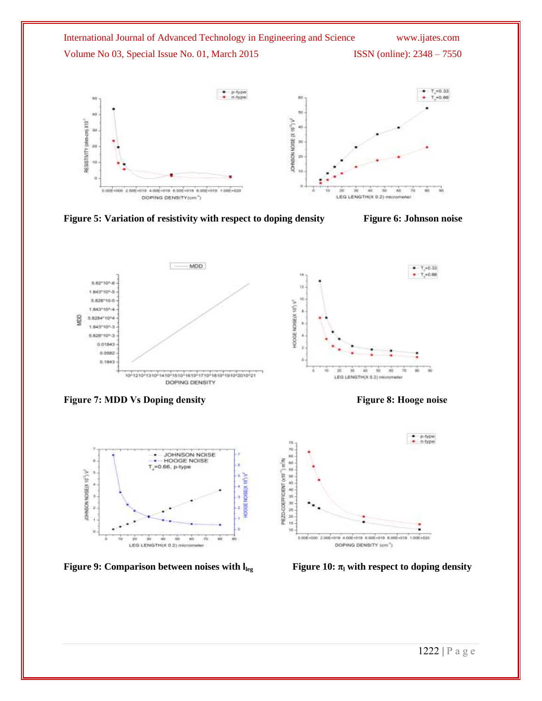

Figure 5: Variation of resistivity with respect to doping density Figure 6: Johnson noise



**Figure 7: MDD** Vs Doping density Figure 8: Hooge noise





**Figure 9: Comparison between noises with lleg** 



 **Figure 10:**  $\pi$ <sup>l</sup> with respect to doping density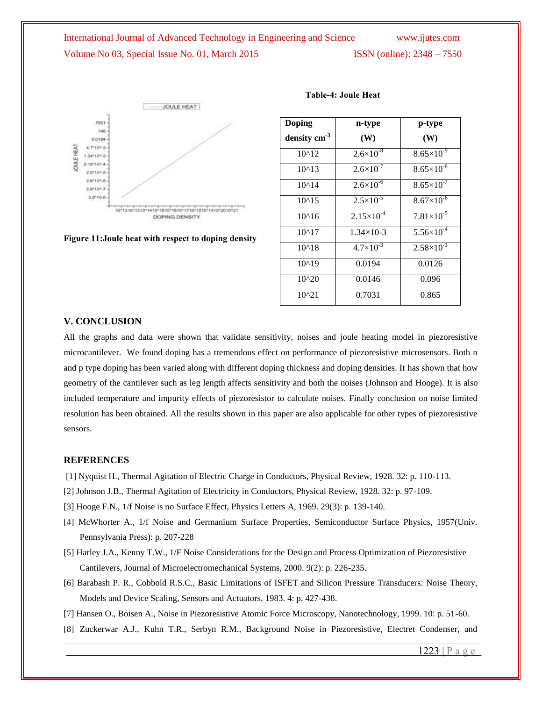## International Journal of Advanced Technology in Engineering and Science www.ijates.com Volume No 03, Special Issue No. 01, March 2015 **ISSN** (online): 2348 – 7550



**Figure 11:Joule heat with respect to doping density**

| Doping        | n-type               | p-type                |
|---------------|----------------------|-----------------------|
| density $cm3$ | (W)                  | (W)                   |
| $10^{4}12$    | $2.6 \times 10^{-8}$ | $8.65 \times 10^{-9}$ |
| $10^{4}13$    | $2.6 \times 10^{-7}$ | $8.65\times10^{-8}$   |
| $10^{4}14$    | $2.6 \times 10^{-6}$ | $8.65 \times 10^{-7}$ |
| $10^{4}15$    | $2.5 \times 10^{-5}$ | $8.67\times10^{-6}$   |
| $10^{4}16$    | $2.15\times10^{-4}$  | $7.81\times10^{-5}$   |
| $10^{4}17$    | $1.34 \times 10-3$   | $5.56 \times 10^{-4}$ |
| $10^{4}18$    | $4.7\times10^{-3}$   | $2.58\times10^{-3}$   |
| $10^{4}19$    | 0.0194               | 0.0126                |
| $10^{20}$     | 0.0146               | 0.096                 |
| $10^{21}$     | 0.7031               | 0.865                 |

#### **Table-4: Joule Heat**

#### **V. CONCLUSION**

All the graphs and data were shown that validate sensitivity, noises and joule heating model in piezoresistive microcantilever. We found doping has a tremendous effect on performance of piezoresistive microsensors. Both n and p type doping has been varied along with different doping thickness and doping densities. It has shown that how geometry of the cantilever such as leg length affects sensitivity and both the noises (Johnson and Hooge). It is also included temperature and impurity effects of piezoresistor to calculate noises. Finally conclusion on noise limited resolution has been obtained. All the results shown in this paper are also applicable for other types of piezoresistive sensors.

#### **REFERENCES**

- [1] Nyquist H., Thermal Agitation of Electric Charge in Conductors, Physical Review, 1928. 32: p. 110-113.
- [2] Johnson J.B., Thermal Agitation of Electricity in Conductors, Physical Review, 1928. 32: p. 97-109.
- [3] Hooge F.N., 1/f Noise is no Surface Effect, Physics Letters A, 1969. 29(3): p. 139-140.
- [4] McWhorter A., 1/f Noise and Germanium Surface Properties, Semiconductor Surface Physics, 1957(Univ. Pennsylvania Press): p. 207-228
- [5] Harley J.A., Kenny T.W., 1/F Noise Considerations for the Design and Process Optimization of Piezoresistive Cantilevers, Journal of Microelectromechanical Systems, 2000. 9(2): p. 226-235.
- [6] Barabash P. R., Cobbold R.S.C., Basic Limitations of ISFET and Silicon Pressure Transducers: Noise Theory, Models and Device Scaling, Sensors and Actuators, 1983. 4: p. 427-438.
- [7] Hansen O., Boisen A., Noise in Piezoresistive Atomic Force Microscopy, Nanotechnology, 1999. 10: p. 51-60.
- [8] Zuckerwar A.J., Kuhn T.R., Serbyn R.M., Background Noise in Piezoresistive, Electret Condenser, and

1223 | P a g e